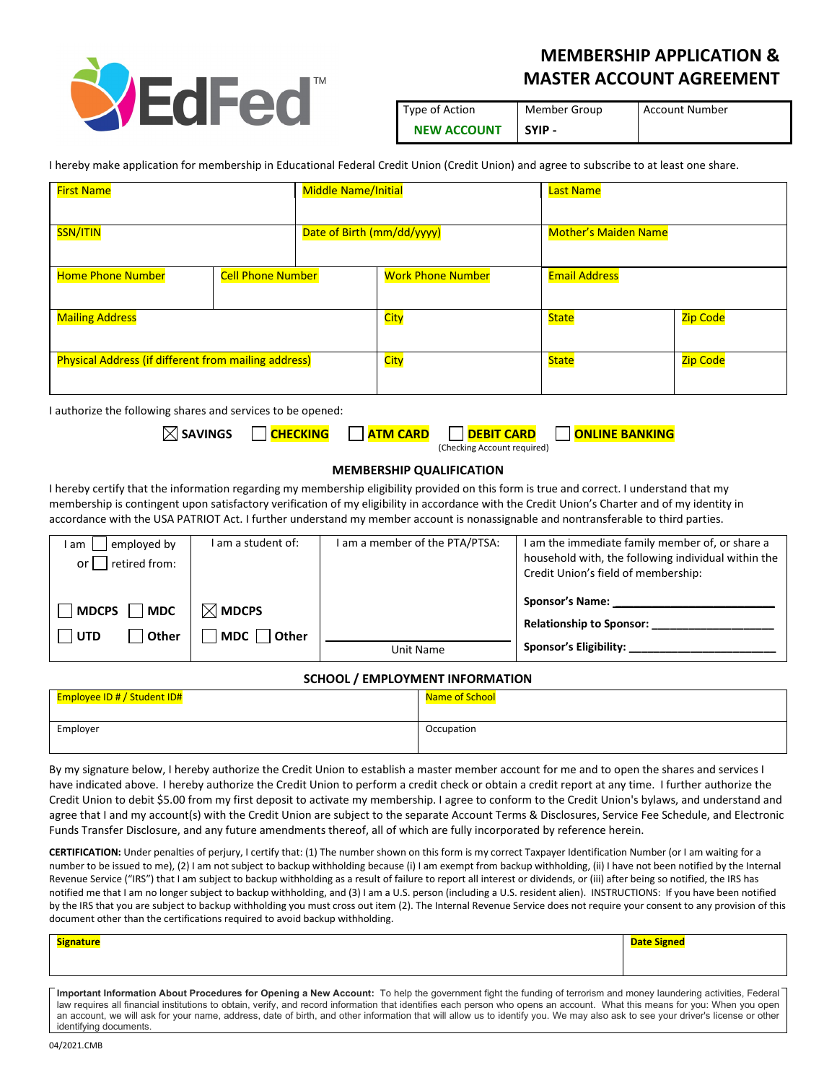

## **MEMBERSHIP APPLICATION & MASTER ACCOUNT AGREEMENT**

| Type of Action     | Member Group | <b>Account Number</b> |
|--------------------|--------------|-----------------------|
| <b>NEW ACCOUNT</b> | SYIP -       |                       |

I hereby make application for membership in Educational Federal Credit Union (Credit Union) and agree to subscribe to at least one share.

| <b>First Name</b>                                           |                          | <b>Middle Name/Initial</b> |                          | <b>Last Name</b>            |          |
|-------------------------------------------------------------|--------------------------|----------------------------|--------------------------|-----------------------------|----------|
| <b>SSN/ITIN</b>                                             |                          | Date of Birth (mm/dd/yyyy) |                          | <b>Mother's Maiden Name</b> |          |
| <b>Home Phone Number</b>                                    | <b>Cell Phone Number</b> |                            | <b>Work Phone Number</b> | <b>Email Address</b>        |          |
| <b>Mailing Address</b>                                      |                          | <b>City</b>                | <b>State</b>             | Zip Code                    |          |
| <b>Physical Address (if different from mailing address)</b> |                          |                            | City                     | <b>State</b>                | Zip Code |

I authorize the following shares and services to be opened:

| SAVINGS |  |                             | │ <mark>CHECKING │ ATM CARD │ DEBIT CARD │ ONLINE BANKING</mark> |
|---------|--|-----------------------------|------------------------------------------------------------------|
|         |  | (Checking Account required) |                                                                  |

## **MEMBERSHIP QUALIFICATION**

I hereby certify that the information regarding my membership eligibility provided on this form is true and correct. I understand that my membership is contingent upon satisfactory verification of my eligibility in accordance with the Credit Union's Charter and of my identity in accordance with the USA PATRIOT Act. I further understand my member account is nonassignable and nontransferable to third parties.

| employed by<br>am l<br>retired from:<br>or l     | I am a student of:                | I am a member of the PTA/PTSA: | I am the immediate family member of, or share a<br>household with, the following individual within the<br>Credit Union's field of membership: |
|--------------------------------------------------|-----------------------------------|--------------------------------|-----------------------------------------------------------------------------------------------------------------------------------------------|
| $ $ MDC<br><b>MDCPS</b><br>. Other<br><b>UTD</b> | $\boxtimes$ MDCPS<br>MDC<br>Other |                                | <b>Sponsor's Name:</b><br><b>Relationship to Sponsor:</b>                                                                                     |
|                                                  |                                   | Unit Name                      | <b>Sponsor's Eligibility:</b>                                                                                                                 |

## **SCHOOL / EMPLOYMENT INFORMATION**

| Employee ID # / Student ID# | Name of School |
|-----------------------------|----------------|
| Employer                    | Occupation     |

By my signature below, I hereby authorize the Credit Union to establish a master member account for me and to open the shares and services I have indicated above. I hereby authorize the Credit Union to perform a credit check or obtain a credit report at any time. I further authorize the Credit Union to debit \$5.00 from my first deposit to activate my membership. I agree to conform to the Credit Union's bylaws, and understand and agree that I and my account(s) with the Credit Union are subject to the separate Account Terms & Disclosures, Service Fee Schedule, and Electronic Funds Transfer Disclosure, and any future amendments thereof, all of which are fully incorporated by reference herein.

**CERTIFICATION:** Under penalties of perjury, I certify that: (1) The number shown on this form is my correct Taxpayer Identification Number (or I am waiting for a number to be issued to me), (2) I am not subject to backup withholding because (i) I am exempt from backup withholding, (ii) I have not been notified by the Internal Revenue Service ("IRS") that I am subject to backup withholding as a result of failure to report all interest or dividends, or (iii) after being so notified, the IRS has notified me that I am no longer subject to backup withholding, and (3) I am a U.S. person (including a U.S. resident alien). INSTRUCTIONS: If you have been notified by the IRS that you are subject to backup withholding you must cross out item (2). The Internal Revenue Service does not require your consent to any provision of this document other than the certifications required to avoid backup withholding.

| <b>Signature</b> | <u>nate Signed</u> |
|------------------|--------------------|
|                  |                    |
|                  |                    |
| .                | $\sim$             |

**Important Information About Procedures for Opening a New Account:** To help the government fight the funding of terrorism and money laundering activities, Federal law requires all financial institutions to obtain, verify, and record information that identifies each person who opens an account. What this means for you: When you open an account, we will ask for your name, address, date of birth, and other information that will allow us to identify you. We may also ask to see your driver's license or other identifying documents.